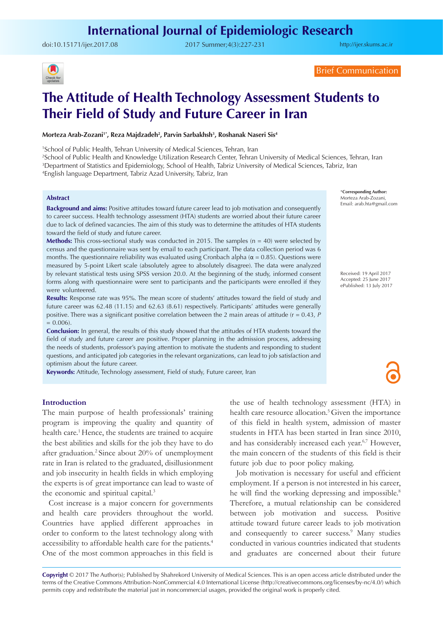doi:[10.15171/ijer.2017.08](http://dx.doi.org/10.15171/ijer.2017.08 ) 2017 Summer;4(3):227-231

<http://ijer.skums.ac.ir>



Brief Communication

# **The Attitude of Health Technology Assessment Students to Their Field of Study and Future Career in Iran**

Morteza Arab-Zozani'\*, Reza Majdzadeh<sup>2</sup>, Parvin Sarbakhsh<sup>3</sup>, Roshanak Naseri Sis<sup>4</sup>

1 School of Public Health, Tehran University of Medical Sciences, Tehran, Iran

2 School of Public Health and Knowledge Utilization Research Center, Tehran University of Medical Sciences, Tehran, Iran 3 Department of Statistics and Epidemiology, School of Health, Tabriz University of Medical Sciences, Tabriz, Iran 4 English language Department, Tabriz Azad University, Tabriz, Iran

#### **Abstract**

**Background and aims:** Positive attitudes toward future career lead to job motivation and consequently to career success. Health technology assessment (HTA) students are worried about their future career due to lack of defined vacancies. The aim of this study was to determine the attitudes of HTA students toward the field of study and future career.

**Methods:** This cross-sectional study was conducted in 2015. The samples (n = 40) were selected by census and the questionnaire was sent by email to each participant. The data collection period was 6 months. The questionnaire reliability was evaluated using Cronbach alpha ( $\alpha$  = 0.85). Questions were measured by 5-point Likert scale (absolutely agree to absolutely disagree). The data were analyzed by relevant statistical tests using SPSS version 20.0. At the beginning of the study, informed consent forms along with questionnaire were sent to participants and the participants were enrolled if they were volunteered.

**Results:** Response rate was 95%. The mean score of students' attitudes toward the field of study and future career was 62.48 (11.15) and 62.63 (8.61) respectively. Participants' attitudes were generally positive. There was a significant positive correlation between the 2 main areas of attitude (r = 0.43, *P*  $= 0.006$ ).

**Conclusion:** In general, the results of this study showed that the attitudes of HTA students toward the field of study and future career are positive. Proper planning in the admission process, addressing the needs of students, professor's paying attention to motivate the students and responding to student questions, and anticipated job categories in the relevant organizations, can lead to job satisfaction and optimism about the future career.

**Keywords:** Attitude, Technology assessment, Field of study, Future career, Iran

**Introduction**

The main purpose of health professionals' training program is improving the quality and quantity of health care.<sup>1</sup> Hence, the students are trained to acquire the best abilities and skills for the job they have to do after graduation.<sup>2</sup> Since about 20% of unemployment rate in Iran is related to the graduated, disillusionment and job insecurity in health fields in which employing the experts is of great importance can lead to waste of the economic and spiritual capital.<sup>3</sup>

Cost increase is a major concern for governments and health care providers throughout the world. Countries have applied different approaches in order to conform to the latest technology along with accessibility to affordable health care for the patients.4 One of the most common approaches in this field is

the use of health technology assessment (HTA) in health care resource allocation.<sup>5</sup> Given the importance of this field in health system, admission of master students in HTA has been started in Iran since 2010, and has considerably increased each year.<sup>6,7</sup> However, the main concern of the students of this field is their future job due to poor policy making.

Job motivation is necessary for useful and efficient employment. If a person is not interested in his career, he will find the working depressing and impossible.<sup>8</sup> Therefore, a mutual relationship can be considered between job motivation and success. Positive attitude toward future career leads to job motivation and consequently to career success.<sup>9</sup> Many studies conducted in various countries indicated that students and graduates are concerned about their future

Copyright © 2017 The Author(s); Published by Shahrekord University of Medical Sciences. This is an open access article distributed under the terms of the Creative Commons Attribution-NonCommercial 4.0 International License (<http://creativecommons.org/licenses/by-nc/4.0/>) which permits copy and redistribute the material just in noncommercial usages, provided the original work is properly cited.

\***Corresponding Author:** Morteza Arab-Zozani, Email: arab.hta@gmail.com

Received: 19 April 2017 Accepted: 25 June 2017 ePublished: 13 July 2017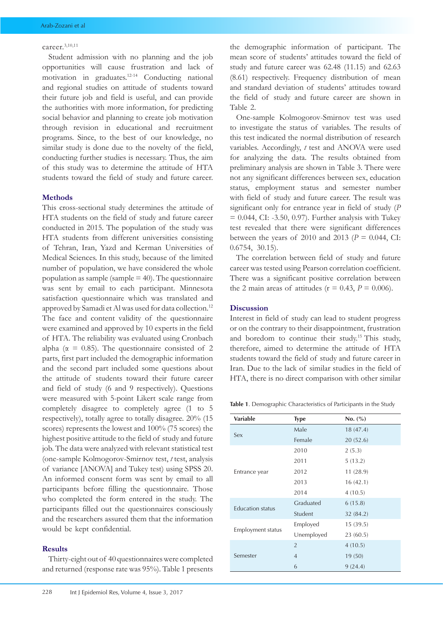#### career.3,10,11

Student admission with no planning and the job opportunities will cause frustration and lack of motivation in graduates.12-14 Conducting national and regional studies on attitude of students toward their future job and field is useful, and can provide the authorities with more information, for predicting social behavior and planning to create job motivation through revision in educational and recruitment programs. Since, to the best of our knowledge, no similar study is done due to the novelty of the field, conducting further studies is necessary. Thus, the aim of this study was to determine the attitude of HTA students toward the field of study and future career.

### **Methods**

This cross-sectional study determines the attitude of HTA students on the field of study and future career conducted in 2015. The population of the study was HTA students from different universities consisting of Tehran, Iran, Yazd and Kerman Universities of Medical Sciences. In this study, because of the limited number of population, we have considered the whole population as sample (sample  $=$  40). The questionnaire was sent by email to each participant. Minnesota satisfaction questionnaire which was translated and approved by Samadi et Al was used for data collection.12 The face and content validity of the questionnaire were examined and approved by 10 experts in the field of HTA. The reliability was evaluated using Cronbach alpha ( $\alpha$  = 0.85). The questionnaire consisted of 2 parts, first part included the demographic information and the second part included some questions about the attitude of students toward their future career and field of study (6 and 9 respectively). Questions were measured with 5-point Likert scale range from completely disagree to completely agree (1 to 5 respectively), totally agree to totally disagree. 20% (15 scores) represents the lowest and 100% (75 scores) the highest positive attitude to the field of study and future job. The data were analyzed with relevant statistical test (one-sample Kolmogorov-Smirnov test, *t* test, analysis of variance [ANOVA] and Tukey test) using SPSS 20. An informed consent form was sent by email to all participants before filling the questionnaire. Those who completed the form entered in the study. The participants filled out the questionnaires consciously and the researchers assured them that the information would be kept confidential.

# **Results**

Thirty-eight out of 40 questionnaires were completed and returned (response rate was 95%). Table 1 presents the demographic information of participant. The mean score of students' attitudes toward the field of study and future career was 62.48 (11.15) and 62.63 (8.61) respectively. Frequency distribution of mean and standard deviation of students' attitudes toward the field of study and future career are shown in Table 2.

One-sample Kolmogorov-Smirnov test was used to investigate the status of variables. The results of this test indicated the normal distribution of research variables. Accordingly, *t* test and ANOVA were used for analyzing the data. The results obtained from preliminary analysis are shown in Table 3. There were not any significant differences between sex, education status, employment status and semester number with field of study and future career. The result was significant only for entrance year in field of study (*P*   $= 0.044$ , CI: -3.50, 0.97). Further analysis with Tukey test revealed that there were significant differences between the years of 2010 and 2013 ( $P = 0.044$ , CI: 0.6754, 30.15).

The correlation between field of study and future career was tested using Pearson correlation coefficient. There was a significant positive correlation between the 2 main areas of attitudes ( $r = 0.43$ ,  $P = 0.006$ ).

# **Discussion**

Interest in field of study can lead to student progress or on the contrary to their disappointment, frustration and boredom to continue their study.15 This study, therefore, aimed to determine the attitude of HTA students toward the field of study and future career in Iran. Due to the lack of similar studies in the field of HTA, there is no direct comparison with other similar

**Table 1**. Demographic Characteristics of Participants in the Study

| <b>Variable</b>         | <b>Type</b>    | No. (%)   |  |  |
|-------------------------|----------------|-----------|--|--|
|                         | Male           | 18(47.4)  |  |  |
| Sex                     | Female         | 20(52.6)  |  |  |
|                         | 2010           | 2(5.3)    |  |  |
|                         | 2011           | 5(13.2)   |  |  |
| Entrance year           | 2012           | 11(28.9)  |  |  |
|                         | 2013           | 16(42.1)  |  |  |
|                         | 2014           | 4(10.5)   |  |  |
| <b>Education status</b> | Graduated      | 6(15.8)   |  |  |
|                         | Student        | 32 (84.2) |  |  |
|                         | Employed       | 15(39.5)  |  |  |
| Employment status       | Unemployed     | 23(60.5)  |  |  |
|                         | $\overline{2}$ | 4(10.5)   |  |  |
| Semester                | $\overline{4}$ | 19 (50)   |  |  |
|                         | 6              | 9(24.4)   |  |  |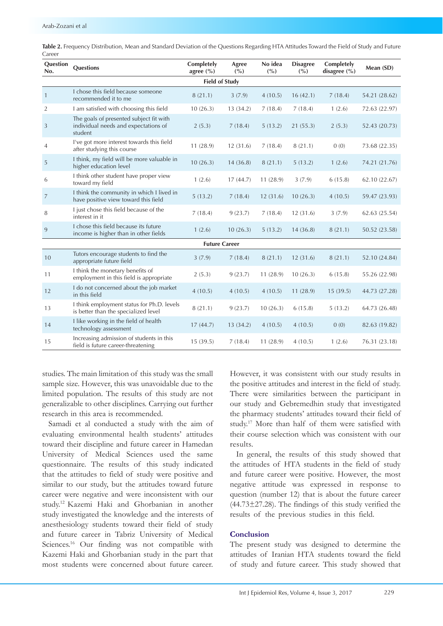| Question<br>No.       | <b>Questions</b>                                                                           | Completely<br>agree $(\% )$ | Agree<br>(° <sub>0</sub> ) | No idea<br>(° <sub>0</sub> ) | <b>Disagree</b><br>(° <sub>0</sub> ) | Completely<br>disagree $(\% )$ | Mean (SD)     |  |  |  |
|-----------------------|--------------------------------------------------------------------------------------------|-----------------------------|----------------------------|------------------------------|--------------------------------------|--------------------------------|---------------|--|--|--|
| <b>Field of Study</b> |                                                                                            |                             |                            |                              |                                      |                                |               |  |  |  |
| $\mathbf{1}$          | I chose this field because someone<br>recommended it to me                                 | 8(21.1)                     | 3(7.9)                     | 4(10.5)                      | 16(42.1)                             | 7(18.4)                        | 54.21 (28.62) |  |  |  |
| $\overline{2}$        | I am satisfied with choosing this field                                                    | 10(26.3)                    | 13(34.2)                   | 7(18.4)                      | 7(18.4)                              | 1(2.6)                         | 72.63 (22.97) |  |  |  |
| 3                     | The goals of presented subject fit with<br>individual needs and expectations of<br>student | 2(5.3)                      | 7(18.4)                    | 5(13.2)                      | 21(55.3)                             | 2(5.3)                         | 52.43 (20.73) |  |  |  |
| $\overline{4}$        | I've got more interest towards this field<br>after studying this course                    | 11(28.9)                    | 12(31.6)                   | 7(18.4)                      | 8(21.1)                              | 0(0)                           | 73.68 (22.35) |  |  |  |
| $\sqrt{5}$            | I think, my field will be more valuable in<br>higher education level                       | 10(26.3)                    | 14(36.8)                   | 8(21.1)                      | 5(13.2)                              | 1(2.6)                         | 74.21 (21.76) |  |  |  |
| 6                     | I think other student have proper view<br>toward my field                                  | 1(2.6)                      | 17(44.7)                   | 11(28.9)                     | 3(7.9)                               | 6(15.8)                        | 62.10 (22.67) |  |  |  |
| $\overline{7}$        | I think the community in which I lived in<br>have positive view toward this field          | 5(13.2)                     | 7(18.4)                    | 12(31.6)                     | 10(26.3)                             | 4(10.5)                        | 59.47 (23.93) |  |  |  |
| 8                     | I just chose this field because of the<br>interest in it                                   | 7(18.4)                     | 9(23.7)                    | 7(18.4)                      | 12(31.6)                             | 3(7.9)                         | 62.63 (25.54) |  |  |  |
| $\overline{9}$        | I chose this field because its future<br>income is higher than in other fields             | 1(2.6)                      | 10(26.3)                   | 5(13.2)                      | 14(36.8)                             | 8(21.1)                        | 50.52 (23.58) |  |  |  |
| <b>Future Career</b>  |                                                                                            |                             |                            |                              |                                      |                                |               |  |  |  |
| 10                    | Tutors encourage students to find the<br>appropriate future field                          | 3(7.9)                      | 7(18.4)                    | 8(21.1)                      | 12(31.6)                             | 8(21.1)                        | 52.10 (24.84) |  |  |  |
| 11                    | I think the monetary benefits of<br>employment in this field is appropriate                | 2(5.3)                      | 9(23.7)                    | 11(28.9)                     | 10(26.3)                             | 6(15.8)                        | 55.26 (22.98) |  |  |  |
| 12                    | I do not concerned about the job market<br>in this field                                   | 4(10.5)                     | 4(10.5)                    | 4(10.5)                      | 11(28.9)                             | 15(39.5)                       | 44.73 (27.28) |  |  |  |
| 13                    | I think employment status for Ph.D. levels<br>is better than the specialized level         | 8(21.1)                     | 9(23.7)                    | 10(26.3)                     | 6(15.8)                              | 5(13.2)                        | 64.73 (26.48) |  |  |  |
| 14                    | I like working in the field of health<br>technology assessment                             | 17(44.7)                    | 13(34.2)                   | 4(10.5)                      | 4(10.5)                              | 0(0)                           | 82.63 (19.82) |  |  |  |
| 15                    | Increasing admission of students in this<br>field is future career-threatening             | 15(39.5)                    | 7(18.4)                    | 11(28.9)                     | 4(10.5)                              | 1(2.6)                         | 76.31 (23.18) |  |  |  |

**Table 2.** Frequency Distribution, Mean and Standard Deviation of the Questions Regarding HTA Attitudes Toward the Field of Study and Future Career

studies. The main limitation of this study was the small sample size. However, this was unavoidable due to the limited population. The results of this study are not generalizable to other disciplines. Carrying out further research in this area is recommended.

Samadi et al conducted a study with the aim of evaluating environmental health students' attitudes toward their discipline and future career in Hamedan University of Medical Sciences used the same questionnaire. The results of this study indicated that the attitudes to field of study were positive and similar to our study, but the attitudes toward future career were negative and were inconsistent with our study.12 Kazemi Haki and Ghorbanian in another study investigated the knowledge and the interests of anesthesiology students toward their field of study and future career in Tabriz University of Medical Sciences.<sup>16</sup> Our finding was not compatible with Kazemi Haki and Ghorbanian study in the part that most students were concerned about future career.

However, it was consistent with our study results in the positive attitudes and interest in the field of study. There were similarities between the participant in our study and Gebremedhin study that investigated the pharmacy students' attitudes toward their field of study.17 More than half of them were satisfied with their course selection which was consistent with our results.

In general, the results of this study showed that the attitudes of HTA students in the field of study and future career were positive. However, the most negative attitude was expressed in response to question (number 12) that is about the future career  $(44.73 \pm 27.28)$ . The findings of this study verified the results of the previous studies in this field.

# **Conclusion**

The present study was designed to determine the attitudes of Iranian HTA students toward the field of study and future career. This study showed that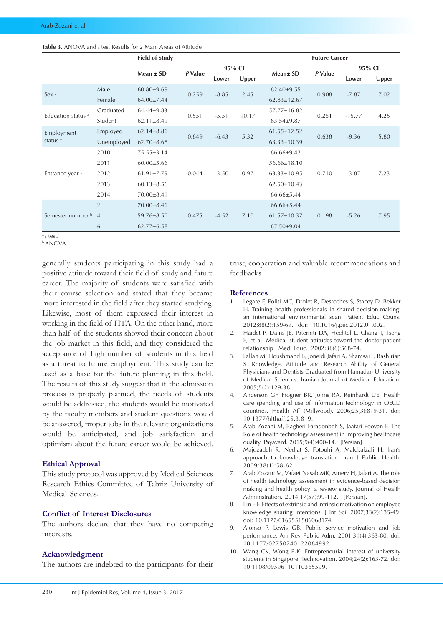| <b>Table 3.</b> ANOVA and t test Results for 2 Main Areas of Attitude |
|-----------------------------------------------------------------------|
|-----------------------------------------------------------------------|

|                                   |                | <b>Field of Study</b> |         |         |       | <b>Future Career</b> |         |          |       |
|-----------------------------------|----------------|-----------------------|---------|---------|-------|----------------------|---------|----------|-------|
|                                   |                |                       | P Value | 95% CI  |       | Mean± SD             | P Value | 95% CI   |       |
|                                   |                | Mean $\pm$ SD         |         | Lower   | Upper |                      |         | Lower    | Upper |
| Sex <sup>a</sup>                  | Male           | $60.80 \pm 9.69$      | 0.259   | $-8.85$ | 2.45  | $62.40 \pm 9.55$     | 0.908   | $-7.87$  | 7.02  |
|                                   | Female         | 64.00±7.44            |         |         |       | $62.83 \pm 12.67$    |         |          |       |
| Education status <sup>a</sup>     | Graduated      | $64.44 \pm 9.83$      | 0.551   | $-5.51$ | 10.17 | 57.77±16.82          | 0.251   | $-15.77$ | 4.25  |
|                                   | Student        | $62.11 \pm 8.49$      |         |         |       | $63.54 \pm 9.87$     |         |          |       |
| Employment<br>status <sup>a</sup> | Employed       | $62.14 \pm 8.81$      | 0.849   | $-6.43$ | 5.32  | $61.55 \pm 12.52$    | 0.638   | $-9.36$  | 5.80  |
|                                   | Unemployed     | $62.70 \pm 8.68$      |         |         |       | $63.33 \pm 10.39$    |         |          |       |
| Entrance year b                   | 2010           | $75.55 \pm 3.14$      | 0.044   | $-3.50$ | 0.97  | 66.66±9.42           | 0.710   | $-3.87$  | 7.23  |
|                                   | 2011           | $60.00 \pm 5.66$      |         |         |       | $56.66 \pm 18.10$    |         |          |       |
|                                   | 2012           | $61.91 \pm 7.79$      |         |         |       | $63.33 \pm 10.95$    |         |          |       |
|                                   | 2013           | $60.13 \pm 8.56$      |         |         |       | $62.50 \pm 10.43$    |         |          |       |
|                                   | 2014           | 70.00±8.41            |         |         |       | $66.66 \pm 5.44$     |         |          |       |
| Semester number b                 | $\overline{2}$ | $70.00 \pm 8.41$      |         |         |       | $66.66 \pm 5.44$     |         |          |       |
|                                   | $\overline{4}$ | 59.76±8.50            | 0.475   | $-4.52$ | 7.10  | $61.57 \pm 10.37$    | 0.198   | $-5.26$  | 7.95  |
|                                   | 6              | $62.77 \pm 6.58$      |         |         |       | $67.50 \pm 9.04$     |         |          |       |

<sup>a</sup>*t* test.

b ANOVA.

generally students participating in this study had a positive attitude toward their field of study and future career. The majority of students were satisfied with their course selection and stated that they became more interested in the field after they started studying. Likewise, most of them expressed their interest in working in the field of HTA. On the other hand, more than half of the students showed their concern about the job market in this field, and they considered the acceptance of high number of students in this field as a threat to future employment. This study can be used as a base for the future planning in this field. The results of this study suggest that if the admission process is properly planned, the needs of students would be addressed, the students would be motivated by the faculty members and student questions would be answered, proper jobs in the relevant organizations would be anticipated, and job satisfaction and optimism about the future career would be achieved.

### **Ethical Approval**

This study protocol was approved by Medical Sciences Research Ethics Committee of Tabriz University of Medical Sciences.

# **Conflict of Interest Disclosures**

The authors declare that they have no competing interests.

## **Acknowledgment**

The authors are indebted to the participants for their

trust, cooperation and valuable recommendations and feedbacks

#### **References**

- 1. Legare F, Politi MC, Drolet R, Desroches S, Stacey D, Bekker H. Training health professionals in shared decision-making: an international environmental scan. Patient Educ Couns. 2012;88(2):159-69. doi: 10.1016/j.pec.2012.01.002.
- 2. Haidet P, Dains JE, Paterniti DA, Hechtel L, Chang T, Tseng E, et al. Medical student attitudes toward the doctor-patient relationship. Med Educ. 2002;36(6):568-74.
- 3. Fallah M, Houshmand B, Joneidi Jafari A, Shamsai F, Bashirian S. Knowledge, Attitude and Research Ability of General Physicians and Dentists Graduated from Hamadan University of Medical Sciences. Iranian Journal of Medical Education. 2005;5(2):129-38.
- 4. Anderson GF, Frogner BK, Johns RA, Reinhardt UE. Health care spending and use of information technology in OECD countries. Health Aff (Millwood). 2006;25(3):819-31. doi: 10.1377/hlthaff.25.3.819.
- 5. Arab Zozani M, Bagheri Faradonbeh S, Jaafari Pooyan E. The Role of health technology assessment in improving healthcare quality. Payavard. 2015;9(4):400-14. [Persian].
- 6. Majdzadeh R, Nedjat S, Fotouhi A, Malekafzali H. Iran's approach to knowledge translation. Iran J Public Health. 2009;38(1):58-62.
- 7. Arab Zozani M, Vafaei Nasab MR, Amery H, Jafari A. The role of health technology assessment in evidence-based decision making and health policy: a review study. Journal of Health Administration. 2014;17(57):99-112. [Persian].
- 8. Lin HF. Effects of extrinsic and intrinsic motivation on employee knowledge sharing intentions. J Inf Sci. 2007;33(2):135-49. doi: 10.1177/0165551506068174.
- 9. Alonso P, Lewis GB. Public service motivation and job performance. Am Rev Public Adm. 2001;31(4):363-80. doi: 10.1177/02750740122064992.
- 10. Wang CK, Wong P-K. Entrepreneurial interest of university students in Singapore. Technovation. 2004;24(2):163-72. doi: 10.1108/09596110110365599.